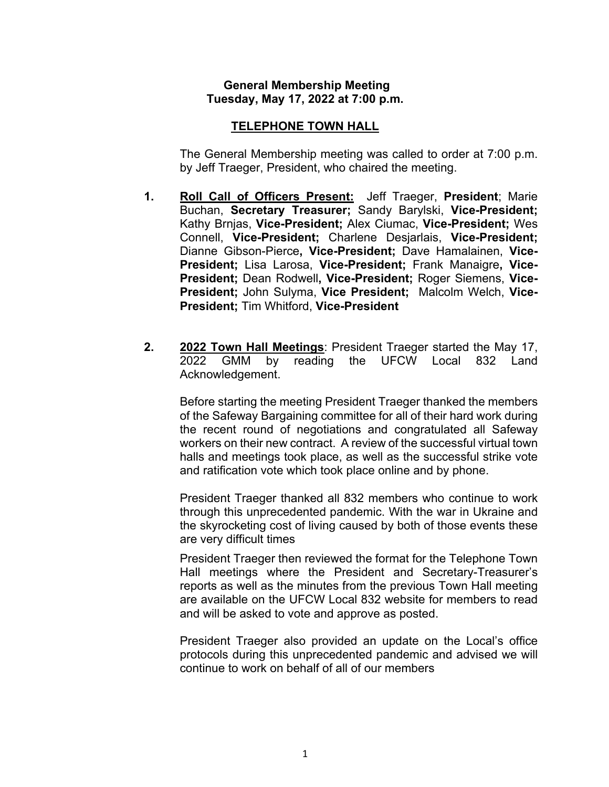## **General Membership Meeting Tuesday, May 17, 2022 at 7:00 p.m.**

# **TELEPHONE TOWN HALL**

The General Membership meeting was called to order at 7:00 p.m. by Jeff Traeger, President, who chaired the meeting.

- **1. Roll Call of Officers Present:** Jeff Traeger, **President**; Marie Buchan, **Secretary Treasurer;** Sandy Barylski, **Vice-President;**  Kathy Brnjas, **Vice-President;** Alex Ciumac, **Vice-President;** Wes Connell, **Vice-President;** Charlene Desjarlais, **Vice-President;** Dianne Gibson-Pierce**, Vice-President;** Dave Hamalainen, **Vice-President;** Lisa Larosa, **Vice-President;** Frank Manaigre**, Vice-President;** Dean Rodwell**, Vice-President;** Roger Siemens, **Vice-President;** John Sulyma, **Vice President;** Malcolm Welch, **Vice-President;** Tim Whitford, **Vice-President**
- **2. 2022 Town Hall Meetings**: President Traeger started the May 17, 2022 GMM by reading the UFCW Local 832 Land Acknowledgement.

Before starting the meeting President Traeger thanked the members of the Safeway Bargaining committee for all of their hard work during the recent round of negotiations and congratulated all Safeway workers on their new contract. A review of the successful virtual town halls and meetings took place, as well as the successful strike vote and ratification vote which took place online and by phone.

President Traeger thanked all 832 members who continue to work through this unprecedented pandemic. With the war in Ukraine and the skyrocketing cost of living caused by both of those events these are very difficult times

President Traeger then reviewed the format for the Telephone Town Hall meetings where the President and Secretary-Treasurer's reports as well as the minutes from the previous Town Hall meeting are available on the UFCW Local 832 website for members to read and will be asked to vote and approve as posted.

President Traeger also provided an update on the Local's office protocols during this unprecedented pandemic and advised we will continue to work on behalf of all of our members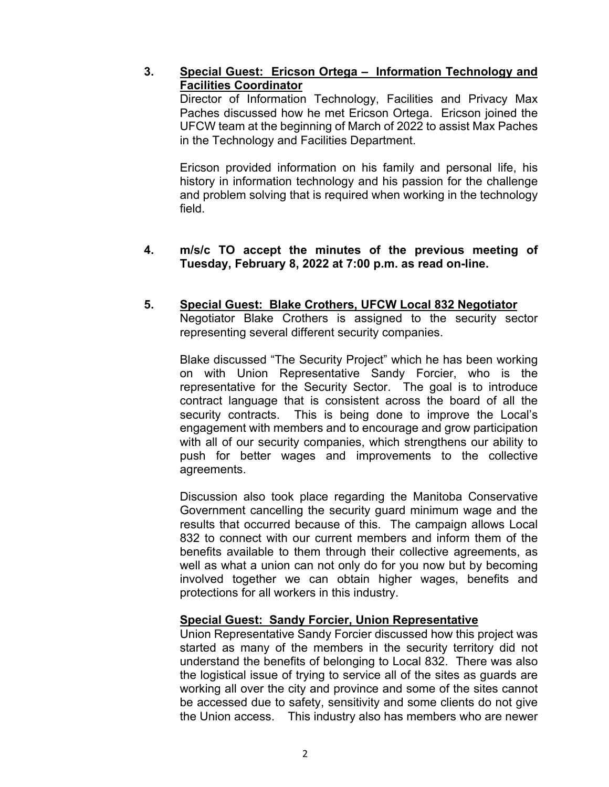# **3. Special Guest: Ericson Ortega – Information Technology and Facilities Coordinator**

Director of Information Technology, Facilities and Privacy Max Paches discussed how he met Ericson Ortega. Ericson joined the UFCW team at the beginning of March of 2022 to assist Max Paches in the Technology and Facilities Department.

Ericson provided information on his family and personal life, his history in information technology and his passion for the challenge and problem solving that is required when working in the technology field.

## **4. m/s/c TO accept the minutes of the previous meeting of Tuesday, February 8, 2022 at 7:00 p.m. as read on-line.**

#### **5. Special Guest: Blake Crothers, UFCW Local 832 Negotiator** Negotiator Blake Crothers is assigned to the security sector representing several different security companies.

Blake discussed "The Security Project" which he has been working on with Union Representative Sandy Forcier, who is the representative for the Security Sector. The goal is to introduce contract language that is consistent across the board of all the security contracts. This is being done to improve the Local's engagement with members and to encourage and grow participation with all of our security companies, which strengthens our ability to push for better wages and improvements to the collective agreements.

Discussion also took place regarding the Manitoba Conservative Government cancelling the security guard minimum wage and the results that occurred because of this. The campaign allows Local 832 to connect with our current members and inform them of the benefits available to them through their collective agreements, as well as what a union can not only do for you now but by becoming involved together we can obtain higher wages, benefits and protections for all workers in this industry.

## **Special Guest: Sandy Forcier, Union Representative**

Union Representative Sandy Forcier discussed how this project was started as many of the members in the security territory did not understand the benefits of belonging to Local 832. There was also the logistical issue of trying to service all of the sites as guards are working all over the city and province and some of the sites cannot be accessed due to safety, sensitivity and some clients do not give the Union access. This industry also has members who are newer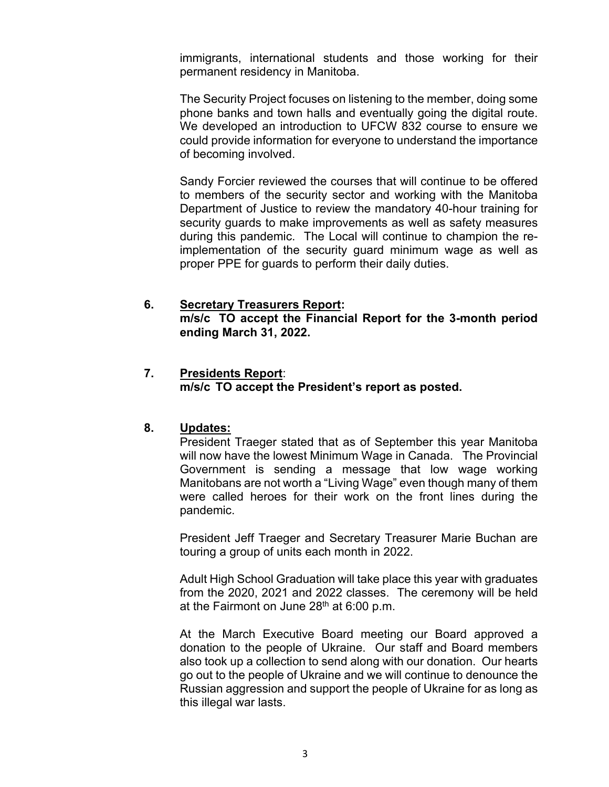immigrants, international students and those working for their permanent residency in Manitoba.

The Security Project focuses on listening to the member, doing some phone banks and town halls and eventually going the digital route. We developed an introduction to UFCW 832 course to ensure we could provide information for everyone to understand the importance of becoming involved.

Sandy Forcier reviewed the courses that will continue to be offered to members of the security sector and working with the Manitoba Department of Justice to review the mandatory 40-hour training for security guards to make improvements as well as safety measures during this pandemic. The Local will continue to champion the reimplementation of the security guard minimum wage as well as proper PPE for guards to perform their daily duties.

## **6. Secretary Treasurers Report:**

**m/s/c TO accept the Financial Report for the 3-month period ending March 31, 2022.** 

## **7. Presidents Report**:

**m/s/c TO accept the President's report as posted.**

## **8. Updates:**

President Traeger stated that as of September this year Manitoba will now have the lowest Minimum Wage in Canada. The Provincial Government is sending a message that low wage working Manitobans are not worth a "Living Wage" even though many of them were called heroes for their work on the front lines during the pandemic.

President Jeff Traeger and Secretary Treasurer Marie Buchan are touring a group of units each month in 2022.

Adult High School Graduation will take place this year with graduates from the 2020, 2021 and 2022 classes. The ceremony will be held at the Fairmont on June  $28<sup>th</sup>$  at 6:00 p.m.

At the March Executive Board meeting our Board approved a donation to the people of Ukraine. Our staff and Board members also took up a collection to send along with our donation. Our hearts go out to the people of Ukraine and we will continue to denounce the Russian aggression and support the people of Ukraine for as long as this illegal war lasts.